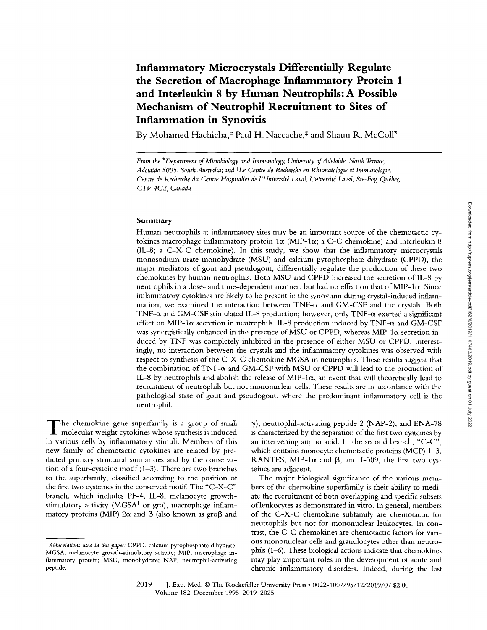# Inflammatory Microcrystals Differentially Regulate the Secretion of Macrophage Inflammatory Protein 1 and Interleukin <sup>8</sup> by Human Neutrophils: A Possible Mechanism of Neutrophil Recruitment to Sites of Inflammation in Synovitis

By Mohamed Hachicha,<sup>‡</sup> Paul H. Naccache,<sup>‡</sup> and Shaun R. McColl\*

#### Summary

Human neutrophils at inflammatory sites may be an important source of the chemotactic cytokines macrophage inflammatory protein  $1\alpha$  (MIP-1 $\alpha$ ; a C-C chemokine) and interleukin 8 (IL-8 ; <sup>a</sup> C-X-C chemokine). In this study, we show that the inflammatory microcrystals monosodium urate monohydrate (MSU) and calcium pyrophosphate dihydrate (CPPD), the major mediators of gout and pseudogout, differentially regulate the production of these two chemokines by human neutrophils . Both MSU and CPPD increased the secretion of IL-8 by neutrophils in a dose- and time-dependent manner, but had no effect on that of MIP-1 $\alpha$ . Since inflammatory cytokines are likely to be present in the synovium during crystal-induced inflammation, we examined the interaction between  $TNF-\alpha$  and  $GM-CSF$  and the crystals. Both TNF- $\alpha$  and GM-CSF stimulated IL-8 production; however, only TNF- $\alpha$  exerted a significant effect on MIP-1 $\alpha$  secretion in neutrophils. IL-8 production induced by TNF- $\alpha$  and GM-CSF was synergistically enhanced in the presence of MSU or CPPD, whereas MIP-1 $\alpha$  secretion induced by TNF was completely inhibited in the presence of either MSU or CPPD. Interestingly, no interaction between the crystals and the inflammatory cytokines was observed with respect to synthesis of the C-X-C chemokine MESA in neutrophils . These results suggest that the combination of TNF- $\alpha$  and GM-CSF with MSU or CPPD will lead to the production of IL-8 by neutrophils and abolish the release of MIP-1 $\alpha$ , an event that will theoretically lead to recruitment of neutrophils but not mononuclear cells . These results are in accordance with the pathological state of gout and pseudogout, where the predominant inflammatory cell is the neutrophil.

The chemokine gene superfamily is a group of small<br>molecular weight cytokines whose synthesis is induced<br>in various cells by inflammatory stimuli. Members of this molecular weight cytokines whose synthesis is induced in various cells by inflammatory stimuli. Members of this new family of chemotactic cytokines are related by predicted primary structural similarities and by the conservation of a four-cysteine motif  $(1-3)$ . There are two branches to the superfamily, classified according to the position of the first two cysteines in the conserved motif. The "C-X-C" branch, which includes PF-4, IL-8, melanocyte growthstimulatory activity (MGSA<sup>1</sup> or gro), macrophage inflammatory proteins (MIP)  $2\alpha$  and  $\beta$  (also known as gro $\beta$  and

 $\gamma$ ), neutrophil-activating peptide 2 (NAP-2), and ENA-78 is characterized by the separation of the first two cysteines by an intervening amino acid. In the second branch, "C-C", which contains monocyte chemotactic proteins (MCP) 1-3, RANTES, MIP-1 $\alpha$  and  $\beta$ , and I-309, the first two cysteines are adjacent.

The major biological significance of the various members of the chemokine superfamily is their ability to mediate the recruitment of both overlapping and specific subsets of leukocytes as demonstrated in vitro. In general, members of the C-X-C chemokine subfamily are chemotactic for neutrophils but not for mononuclear leukocytes. In contrast, the C-C chemokines are chemotactic factors for various mononuclear cells and granulocytes other than neutrophils  $(1-6)$ . These biological actions indicate that chemokines may play important roles in the development of acute and chronic inflammatory disorders. Indeed, during the last

From the \*Department of Microbiology and Immunology, University of Adelaide, North Terrace, Adelaide 5005, South Australia; and  $\pm$ Le Centre de Recherche en Rhumatologie et Immunologie, Centre de Recherche du Centre Hospitalier de l'Université Laval, Université Laval, Ste-Foy, Québec, G1V4G2, Canada

<sup>&</sup>lt;sup>1</sup>Abbreviations used in this paper: CPPD, calcium pyrophosphate dihydrate; MGSA, melanocyte growth-stimulatory activity; MIP, macrophage inflammatory protein; MSU, monohydrate; NAP, neutrophil-activating peptide.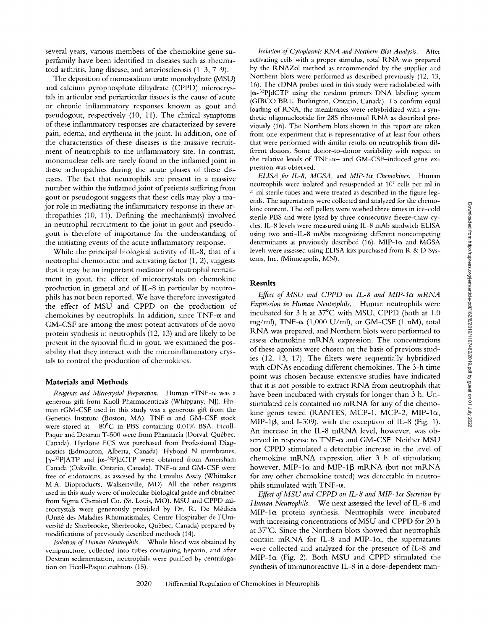several years, various members of the chemokine gene superfamily have been identified in diseases such as rheumatoid arthritis, lung disease, and arteriosclerosis (1-3, 7-9) .

The deposition of monosodium urate monohydrate (MSU) and calcium pyrophosphate dihydrate (CPPD) microcrystals in articular and periarticular tissues is the cause of acute or chronic inflammatory responses known as gout and pseudogout, respectively (10, 11). The clinical symptoms of these inflammatory responses are characterized by severe pain, edema, and erythema in the joint. In addition, one of the characteristics of these diseases is the massive recruitment of neutrophils to the inflammatory site. In contrast, mononuclear cells are rarely found in the inflamedjoint in these arthropathies during the acute phases of these diseases. The fact that neutrophils are present in a massive number within the inflamed joint of patients suffering from gout or pseudogout suggests that these cells mayplay <sup>a</sup> major role in mediating the inflammatory response in these arthropathies (10, 11) . Defining the mechanism(s) involved in neutrophil recruitment to the joint in gout and pseudogout is therefore of importance for the understanding of the initiating events of the acute inflammatory response.

While the principal biological activity of IL-8, that of <sup>a</sup> neutrophil chemotactic and activating factor (1, 2), suggests that it may be an important mediator of neutrophil recruitment in gout, the effect of microcrystals on chemokine production in general and of IL-8 in particular by neutrophils has not been reported. We have therefore investigated the effect of MSU and CPPD on the production of chemokines by neutrophils. In addition, since TNF- $\alpha$  and GM-CSF are among the most potent activators of de novo protein synthesis in neutrophils (12, 13) and are likely to be present in the synovial fluid in gout, we examined the possibility that they interact with the microinflammatory crystals to control the production of chemokines.

### Materials and Methods

Reagents and Microcrystal Preparation. Human  $rTNF-\alpha$  was a generous gift from Knoll Pharmaceuticals (Whippany, NJ). Human rGM-CSF used in this study was a generous gift from the Genetics Institute (Boston, MA). TNF- $\alpha$  and GM-CSF stock were stored at  $-80^{\circ}$ C in PBS containing 0.01% BSA. Ficoll-Paque and Dextran T-500 were from Pharmacia (Dorval, Québec, Canada). Hyclone FCS was purchased from Professional Diagnostics (Edmonton, Alberta, Canada). Hybond N membranes,  $[\gamma$ -<sup>32</sup>P]ATP and  $[\alpha$ -<sup>32</sup>P]dCTP were obtained from Amersham Canada (Oakville, Ontario, Canada). TNF- $\alpha$  and GM-CSF were free of endotoxins, as assessed by the Limulus Assay (Whittaker M.A . Bioproducts, Walkersville, MD). All the other reagents used in this study were of molecular biological grade and obtained from Sigma Chemical Co. (St. Louis, MO). MSU and CPPD microcrystals were generously provided by Dr. R. De Medicis (Unite des Maladies Rhumatismales, Centre Hospitalier de 1'Université de Sherbrooke, Sherbrooke, Québec, Canada) prepared by modifications of previously described methods (14).

Isolation of Human Neutrophils. Whole blood was obtained by venipuncture, collected into tubes containing heparin, and after Dextran sedimentation, neutrophils were purified by centrifugation on Ficoll-Paque cushions (15) .

Isolation of Cytoplasmic RNA and Northern Blot Analysis. After activating cells with <sup>a</sup> proper stimulus, total RNA was prepared by the RNAZol method as recommended by the supplier and Northern blots were performed as described previously (12, 13, 16). The cDNA probes used in this study were radiolabeled with  $[\alpha$ -<sup>32</sup>P]dCTP using the random primers DNA labeling system (GIBCO BRL, Burlington, Ontario, Canada) . To confirm equal loading of RNA, the membranes were rehybridized with <sup>a</sup> synthetic oligonucleotide for 28S ribosomal RNA as described previously (16) . The Northern blots shown in this report are taken from one experiment that is representative of at least four others that were performed with similar results on neutrophils from different donors. Some donor-to-donor variability with respect to the relative levels of TNF- $\alpha$ - and GM-CSF-induced gene expression was observed.

ELISA for IL-8, MGSA, and MIP-1 $\alpha$  Chemokines. Human neutrophils were isolated and resuspended at  $10<sup>7</sup>$  cells per ml in 4-ml sterile tubes and were treated as described in the figure legends. The supernatants were collected and analyzed for the chemokine content. The cell pellets were washed three times in ice-cold sterile PBS and were lysed by three consecutive freeze-thaw cycles . IL-8 levels were measured using IL-8 mAb sandwich ELISA using two anti-IL-8 mAbs recognizing different noncompeting determinants as previously described  $(16)$ . MIP-1 $\alpha$  and MGSA levels were assessed using ELISA kits purchased from R & 1) Systems, Inc. (Minneapolis, MN).

#### Results

Effect of MSU and CPPD on IL-8 and MIP-1 $\alpha$  mRNA Expression in Human Neutrophils. Human neutrophils were incubated for 3 h at  $37^{\circ}$ C with MSU, CPPD (both at 1.0) mg/ml), TNF- $\alpha$  (1,000 U/ml), or GM-CSF (1 nM), total RNA was prepared, and Northern blots were performed to assess chemokine mRNA expression. The concentrations of these agonists were chosen on the basis of previous studies (12, 13, 17). The filters were sequentially hybridized with cDNAs encoding different chemokines. The 3-h time point was chosen because extensive studies have indicated that it is not possible to extract RNA from neutrophils that have been incubated with crystals for longer than 3 h. Unstimulated cells contained no mRNA for any of the chemokine genes tested (RANTES, MCP-1, MCP-2, MIP-1 $\alpha$ , MIP-1 $\beta$ , and I-309), with the exception of IL-8 (Fig. 1). An increase in the IL-8 mRNA level, however, was observed in response to TNF- $\alpha$  and GM-CSF. Neither MSU nor CPPD stimulated <sup>a</sup> detectable increase in the level of chemokine mRNA expression after <sup>3</sup> h of stimulation; however, MIP-1 $\alpha$  and MIP-1 $\beta$  mRNA (but not mRNA for any other chemokine tested) was detectable in neutrophils stimulated with TNF- $\alpha$ .

Effect of MSU and CPPD on IL-8 and MIP-1 $\alpha$  Secretion by Human Neutrophils. We next assessed the level of IL-8 and  $MIP-1\alpha$  protein synthesis. Neutrophils were incubated with increasing concentrations of MSU and CPPD for <sup>20</sup> <sup>h</sup> at 37°C. Since the Northern blots showed that neutrophils contain mRNA for IL-8 and MIP-1 $\alpha$ , the supernatants were collected and analyzed for the presence of IL-8 and MIP-1 $\alpha$  (Fig. 2). Both MSU and CPPD stimulated the synthesis of immunoreactive IL-8 in a dose-dependent man-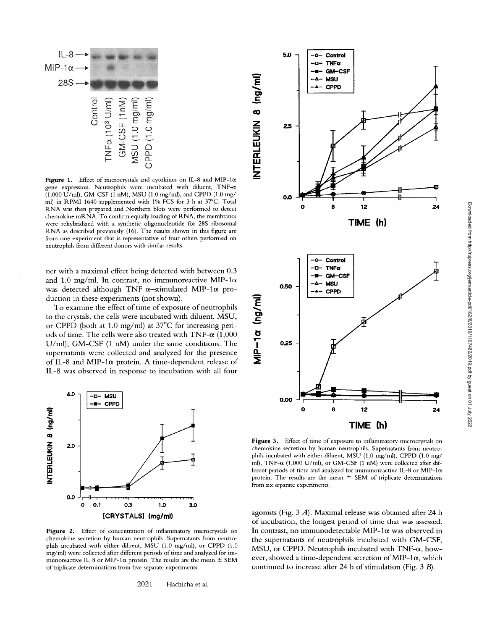

Figure 1. Effect of microcrystals and cytokines on IL-8 and MIP-1 $\alpha$ gene expression. Neutrophils were incubated with diluent,  $TNF-\alpha$ (1,000 U/ml), GM-CSF (1 nM), MSU (1.0 mg/ml), and CPPD (1.0 mg/ ml) in RPMI <sup>1640</sup> supplemented with 1% FCS for 3 h at 37° C. Total RNA was then prepared and Northern blots were performed to detect chemokine mRNA. To confirm equally loading of RNA, the membranes were rehybridized with a synthetic oligonucleotide for 28S ribosomal RNA as described previously (16). The results shown in this figure are from one experiment that is representative of four others performed on neutrophils from different donors with similar results .

ner with a maximal effect being detected with between 0.3 and 1.0 mg/ml. In contrast, no immunoreactive MIP-1 $\alpha$ was detected although TNF- $\alpha$ -stimulated MIP-1 $\alpha$  production in these experiments (not shown).

To examine the effect of time of exposure of neutrophils to the crystals, the cells were incubated with diluent, MSU, or CPPD (both at 1.0 mg/ml) at  $37^{\circ}$ C for increasing periods of time. The cells were also treated with  $TNF-\alpha$  (1,000 U/ml), GM-CSF (1 nM) under the same conditions. The supernatants were collected and analyzed for the presence of IL-8 and MIP-1 $\alpha$  protein. A time-dependent release of IL-8 was observed in response to incubation with all four



Figure 2. Effect of concentration of inflammatory microcrystals on chemokine secretion by human neutrophils. Supernatants from neutrophils incubated with either diluent, MSU (1.0 mg/ml), or CPPD (1.0 mg/ml) were collected after different periods of time and analyzed for immunoreactive IL-8 or MIP-1 $\alpha$  protein. The results are the mean  $\pm$  SEM of triplicate determinations from five separate experiments .



Figure 3. Effect of time of exposure to inflammatory microcrystals on chemokine secretion by human neutrophils. Supernatants from neutrophils incubated with either diluent, MSU (1.0 mg/ml), CPPD (1.0 mg/ ml), TNF- $\alpha$  (1,000 U/ml), or GM-CSF (1 nM) were collected after different periods of time and analyzed for immunoreactive IL-8 or MIP-1 $\alpha$ protein. The results are the mean  $\pm$  SEM of triplicate determinations from six separate experiments

agonists (Fig. 3 A). Maximal release was obtained after 24 h of incubation, the longest period of time that was assessed. In contrast, no immunodetectable MIP-1 $\alpha$  was observed in the supernatants of neutrophils incubated with GM-CSF, MSU, or CPPD. Neutrophils incubated with TNF- $\alpha$ , however, showed a time-dependent secretion of MIP-1 $\alpha$ , which continued to increase after 24 h of stimulation (Fig. 3 B) .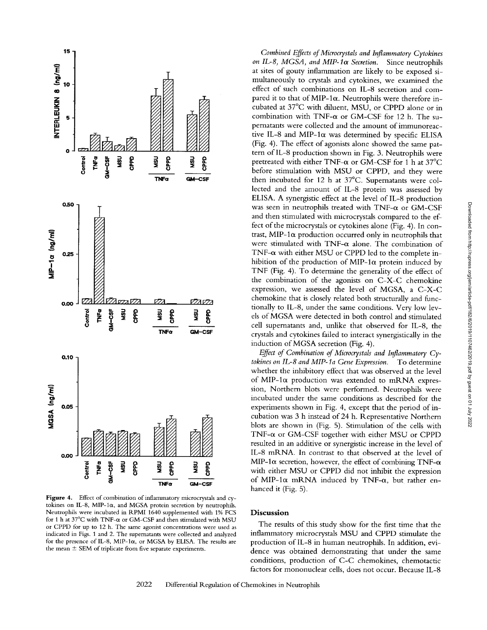

Figure 4. Effect of combination of inflammatory microcrystals and cytokines on IL-8, MIP-1 $\alpha$ , and MGSA protein secretion by neutrophils. Neutrophils were incubated in RPMI <sup>1640</sup> supplemented with 1% FCS for 1 h at 37 $\rm{°C}$  with TNF- $\alpha$  or GM-CSF and then stimulated with MSU or CPPD for up to <sup>12</sup> h. The same agonist concentrations were used as indicated in Figs. 1 and 2. The supernatants were collected and analyzed for the presence of IL-8, MIP-1 $\alpha$ , or MGSA by ELISA. The results are the mean  $\pm$  SEM of triplicate from five separate experiments.

Combined Effects of Microcrystals and Inflammatory Cytokines on IL-8, MGSA, and MIP-1 $\alpha$  Secretion. Since neutrophils at sites of gouty inflammation are likely to be exposed simultaneously to crystals and cytokines, we examined the effect of such combinations on IL-8 secretion and compared it to that of MIP-1 $\alpha$ . Neutrophils were therefore incubated at 37° C with diluent, MSU, or CPPD alone or in combination with TNF- $\alpha$  or GM-CSF for 12 h. The supernatants were collected and the amount of immunoreactive IL-8 and MIP-1 $\alpha$  was determined by specific ELISA (Fig. 4). The effect of agonists alone showed the same pattern of IL-8 production shown in Fig. 3. Neutrophils were pretreated with either TNF- $\alpha$  or GM-CSF for 1 h at 37°C before stimulation with MSU or CPPD, and they were then incubated for 12 h at 37°C. Supernatants were collected and the amount of IL-8 protein was assessed by ELISA. A synergistic effect at the level of IL-8 production was seen in neutrophils treated with TNF- $\alpha$  or GM-CSF and then stimulated with microcrystals compared to the effect of the microcrystals or cytokines alone (Fig. 4) . In contrast, MIP-1 $\alpha$  production occurred only in neutrophils that were stimulated with TNF- $\alpha$  alone. The combination of TNF- $\alpha$  with either MSU or CPPD led to the complete inhibition of the production of MIP-1 $\alpha$  protein induced by TNF (Fig. 4). To determine the generality of the effect of the combination of the agonists on C-X-C chemokine expression, we assessed the level of MGSA, <sup>a</sup> C-X-C chemokine that is closely related both structurally and functionally to IL-8, under the same conditions. Very low levels ofMGSA were detected in both control and stimulated cell supernatants and, unlike that observed for IL-8, the crystals and cytokines failed to interact synergistically in the induction of MGSA secretion (Fig. 4).

Effect of Combination of Microcrystals and Inflammatory Cytokines on IL-8 and MIP-1a Gene Expression. To determine whether the inhibitory effect that was observed at the level of MIP-1 $\alpha$  production was extended to mRNA expression, Northern blots were performed. Neutrophils were incubated under the same conditions as described for the experiments shown in Fig. 4, except that the period of incubation was 3 h instead of 24 h. Representative Northern blots are shown in (Fig. 5). Stimulation of the cells with TNF-a or GM-CSF together with either MSU or CPPD resulted in an additive or synergistic increase in the level of IL-8 mRNA. In contrast to that observed at the level of MIP-1 $\alpha$  secretion, however, the effect of combining TNF- $\alpha$ with either MSU or CPPD did not inhibit the expression of MIP-1 $\alpha$  mRNA induced by TNF- $\alpha$ , but rather enhanced it  $(Fig. 5)$ .

## Discussion

The results of this study show for the first time that the inflammatory microcrystals MSU and CPPD stimulate the production of IL-8 in human neutrophils. In addition, evidence was obtained demonstrating that under the same conditions, production of C-C chemokines, chemotactic factors for mononuclear cells, does not occur. Because IL-8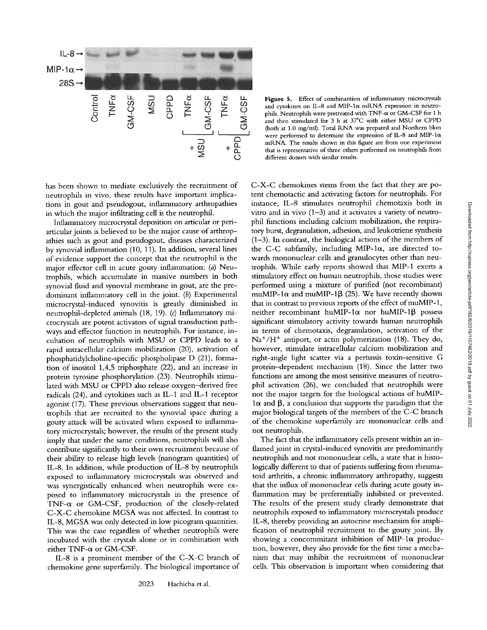

Figure 5. Effect of combinantion of inflammatory microcrystals and cytokines on IL-8 and MIP-1 $\alpha$  mRNA expression in neutrophils. Neutrophils were pretreated with TNF- $\alpha$  or GM-CSF for 1 h and then stimulated for 3 h at 37°C with either MSU or CPPD (both at 1.0 mg/ml). Total RNA was prepared and Northern blots were performed to determine the expression of IL-8 and MIP-1 $\alpha$ mRNA. The results shown in this figure are from one experiment that is representative of three others performed on neutrophils from different donors with similar results.

has been shown to mediate exclusively the recruitment of neutrophils in vivo, these results have important implications in gout and pseudogout, inflammatory arthropathies in which the major infiltrating cell is the neutrophil.

Inflammatory microcrystal deposition on articular or periarticular joints is believed to be the major cause of arthropathies such as gout and pseudogout, diseases characterized by synovial inflammation (10, 11) . In addition, several lines of evidence support the concept that the neutrophil is the major effector cell in acute gouty inflammation: (a) Neutrophils, which accumulate in massive numbers in both synovial fluid and synovial membrane in gout, are the predominant inflammatory cell in the joint. (b) Experimental microcrystal-induced synovitis is greatly diminished in neutrophil-depleted animals  $(18, 19)$ .  $(c)$  Inflammatory microcrystals are potent activators of signal transduction pathways and effector function in neutrophils . For instance, incubation of neutrophils with MSU or CPPD leads to a rapid intracellular calcium mobilization (20), activation of phosphatidylcholine-specific phospholipase D (21), formation of inositol 1,4,5 triphosphate (22), and an increase in protein tyrosine phosphorylation (23). Neutrophils stimulated with MSU or CPPD also release oxygen-derived free radicals (24), and cytokines such as IL-1 and IL-1 receptor agonist (17). These previous observations suggest that neutrophils that are recruited to the synovial space during a gouty attack will be activated when exposed to inflammatory microcrystals; however, the results of the present study imply that under the same conditions, neutrophils will also contribute significantly to their own recruitment because of their ability to release high levels (nanogram quantities) of IL-8. In addition, while production of IL-8 by neutrophils exposed to inflammatory microcrystals was observed and was synergistically enhanced when neutrophils were exposed to inflammatory microcrystals in the presence of TNF- $\alpha$  or GM-CSF, production of the closely-related C-X-C chemokine MGSA was not affected. In contrast to IL-8, MGSA was only detected in low picogram quantities. This was the case regardless of whether neutrophils were incubated with the crystals alone or in combination with either TNF- $\alpha$  or GM-CSF.

IL-8 is a prominent member of the C-X-C branch of chemokine gene superfamily . The biological importance of

C-X-C chemokines stems from the fact that they are potent chemotactic and activating factors for neutrophils. For instance, IL-8 stimulates neutrophil chemotaxis both in vitro and in vivo (1-3) and it activates a variety of neutrophil functions including calcium mobilization, the respiratory burst, degranulation, adhesion, and leukotriene synthesis  $(1-3)$ . In contrast, the biological actions of the members of the C-C subfamily, including MIP-1 $\alpha$ , are directed towards mononuclear cells and granulocytes other than neutrophils. While early reports showed that MIP-1 exerts a stimulatory effect on human neutrophils, those studies were performed using <sup>a</sup> mixture of purified (not recombinant) muMIP-1 $\alpha$  and muMIP-1 $\beta$  (25). We have recently shown that in contrast to previous reports of the effect of muMIP-1, neither recombinant huMIP-1 $\alpha$  nor huMIP-1 $\beta$  possess significant stimulatory activity towards human neutrophils in terms of chemotaxis, degranulation, activation of the  $Na^+/H^+$  antiport, or actin polymerization (18). They do, however, stimulate intracellular calcium mobilization and right-angle light scatter via <sup>a</sup> pertussis toxin-sensitive G protein-dependent mechanism (18). Since the latter two functions are among the most sensitive measures of neutrophil activation (26), we concluded that neutrophils were not the major targets for the biological actions of huMIP- $1\alpha$  and  $\beta$ , a conclusion that supports the paradigm that the major biological targets of the members of the C-C branch of the chemokine superfamily are mononuclear cells and not neutrophils.

The fact that the inflammatory cells present within an inflamed joint in crystal-induced synovitis are predominantly neutrophils and not mononuclear cells, a state that is histologically different to that of patients suffering from rheumatoid arthritis, a chronic inflammatory arthropathy, suggests that the influx of mononuclear cells during acute gouty inflammation may be preferentially inhibited or prevented. The results of the present study clearly demonstrate that neutrophils exposed to inflammatory microcrystals produce IL-8, thereby providing an autocrine mechanism for amplification of neutrophil recruitment to the gouty joint. By showing a concommitant inhibition of MIP-1 $\alpha$  production, however, they also provide for the first time <sup>a</sup> mechanism that may inhibit the recruitment of mononuclear cells. This observation is important when considering that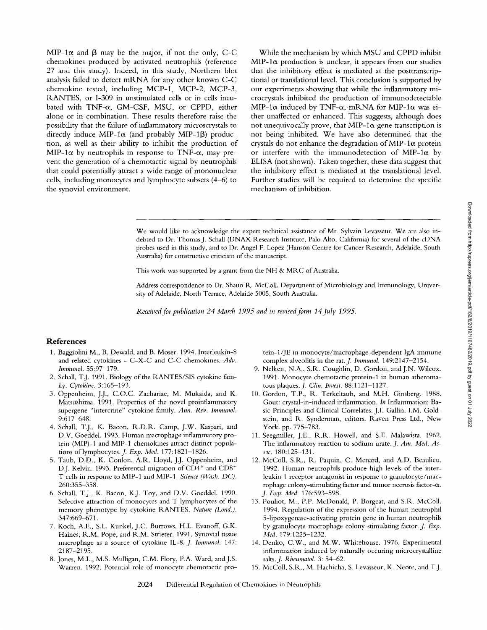MIP-1 $\alpha$  and  $\beta$  may be the major, if not the only, C-C chemokines produced by activated neutrophils (reference 27 and this study). Indeed, in this study, Northern blot analysis failed to detect mRNA for any other known C-C chemokine tested, including MCP-1, MCP-2, MCP-3, RANTES, or 1-309 in unstimulated cells or in cells incubated with TNF- $\alpha$ , GM-CSF, MSU, or CPPD, either alone or in combination. These results therefore raise the possibility that the failure of inflammatory microscrystals to directly induce MIP-1 $\alpha$  (and probably MIP-1 $\beta$ ) production, as well as their ability to inhibit the production of MIP-1 $\alpha$  by neutrophils in response to TNF- $\alpha$ , may prevent the generation of a chemotactic signal by neutrophils that could potentially attract <sup>a</sup> wide range of mononuclear cells, including monocytes and lymphocyte subsets (4-6) to the synovial environment.

While the mechanism by which MSU and CPPD inhibit  $MIP-1\alpha$  production is unclear, it appears from our studies that the inhibitory effect is mediated at the posttranscriptional or translational level. This conclusion is supported by our experiments showing that while the inflammatory microcrystals inhibited the production of immunodetectable MIP-1 $\alpha$  induced by TNF- $\alpha$ , mRNA for MIP-1 $\alpha$  was either unaffected or enhanced. This suggests, although does not unequivocally prove, that MIP-1 $\alpha$  gene transcription is not being inhibited. We have also determined that the crystals do not enhance the degradation of MIP-1 $\alpha$  protein or interfere with the immunodetection of MIP-1 $\alpha$  by ELISA (not shown). Taken together, these data suggest that the inhibitory effect is mediated at the translational level. Further studies will be required to determine the specific mechanism of inhibition.

We would like to acknowledge the expert technical assistance of Mr. Sylvain Levasseur. We are also indebted to Dr. Thomas J. Schall (DNAX Research Institute, Palo Alto, California) for several of the cDNA probes used in this study, and to Dr. Angel F. Lopez (Hanson Centre for Cancer Research, Adelaide, South Australia) for constructive criticism of the manuscript.

This work was supported by a grant from the NH & MRC of Australia.

Address correspondence to Dr. Shaun R. McColl, Department of Microbiology and Immunology, University of Adelaide, North Terrace, Adelaide 5005, South Australia.

Received for publication 24 March 1995 and in revised form 14 July 1995.

# References

- 1. Baggiolini M., B. Dewald, and B. Moser. 1994. Interleukin-8 and related cytokines - C-X-C and C-C chemokines.  $Adv$ . Immunol. 55:97-179.
- 2 Schall, T.J . <sup>1991</sup> . Biology of the RANTES/SIS Cytokine family. Cytokine. 3:165-193.
- 3. Oppenheim, J.J., C.O.C. Zachariae, M. Mukaida, and K. Matsushima. 1991. Properties of the novel proinflammatory supergene "intercrine" cytokine family. Ann. Rev. Immunol. 9:617-648.
- 4. Schall, T.J., K. Bacon, R.D.R. Camp, J.W. Kaspari, and D.V. Goeddel. 1993. Human macrophage inflammatory protein (MIP)-1 and MIP-1 chemokines attract distinct populations of lymphocytes. J. Exp. Med. 177:1821-1826.
- 5. Taub, D.D., K. Conlon, A.R. Lloyd, J.J. Oppenheim, and D.J. Kelvin. 1993. Preferential migration of  $CD4^+$  and  $CD8^+$ T cells in response to MIP-1 and MIP-1. Science (Wash. DC). 260 :355-358 .
- 6. Schall, T.J., K. Bacon, K.J. Toy, and D.V. Goeddel. 1990. Selective attraction of monocytes and T lymphocytes of the memory phenotype by cytokine RANTES. Nature (Lond.). 347:669-671 .
- 7. Koch, A.E., S.L. Kunkel, J.C. Burrows, H.L. Evanoff, G.K. Haines, R.M. Pope, and R.M. Strieter. 1991. Synovial tissue macrophage as a source of cytokine IL-8. J. Immunol. 147: 2187-2195 .
- 8. Jones, M.L., M.S. Mulligan, C.M. Flory, P.A. Ward, and J.S. Warren. 1992. Potential role of monocyte chemotactic pro-

tein-1/JE in monocyte/macrophage-dependent IgA immune complex alveolitis in the rat. J. Immunol. 149:2147-2154.

- 9 . Nelken, N.A., S.R. Coughlin, D. Gordon, and J .N. Wilcox. 1991. Monocyte chemotactic protein-1 in human atheromatous plaques. J. Clin. Invest. 88:1121-1127.
- 10. Gordon, T.P., R. Terkeltaub, and M.H. Ginsberg. 1988. Gout: crystal-in-induced inflammation. In Inflammation: Basic Principles and Clinical Correlates. J.I. Gallin, I.M. Goldstein, and R. Synderman, editors. Raven Press Ltd., New York. pp. 775-783 .
- 11. Seegmiller, J.E., R.R. Howell, and S.E. Malawista. 1962. The inflammatory reaction to sodium urate. J. Am. Med. Assoc. 180:125-131.
- 12. McColl, S.R., R. Paquin, C. Menard, and A.D. Beaulieu. 1992. Human neutrophils produce high levels of the interleukin <sup>1</sup> receptor antagonist in response to granulocyte/macrophage colony-stimulating factor and tumor necrosis factor- $\alpha$ . J. Exp. Med. 176:593-598.
- 13. Pouliot, M., P.P. McDonald, P. Borgeat, and S.R. McColl. 1994. Regulation of the expression of the human neutrophil 5-lipoxygenase-activating protein gene in human neutrophils by granulocyte-macrophage colony-stimulating factor. *J. Exp.* Med. 179:1225-1232.
- 14. Denko, C.W., and M.W. Whitehouse. 1976. Experimental inflammation induced by naturally occuring microcrystalline salts. *J. Rheumatol.* 3: 54-62.
- 15. McColl, S.R., M. Hachicha, <sup>S</sup> . Levasseur, K. Neote, and T.J .